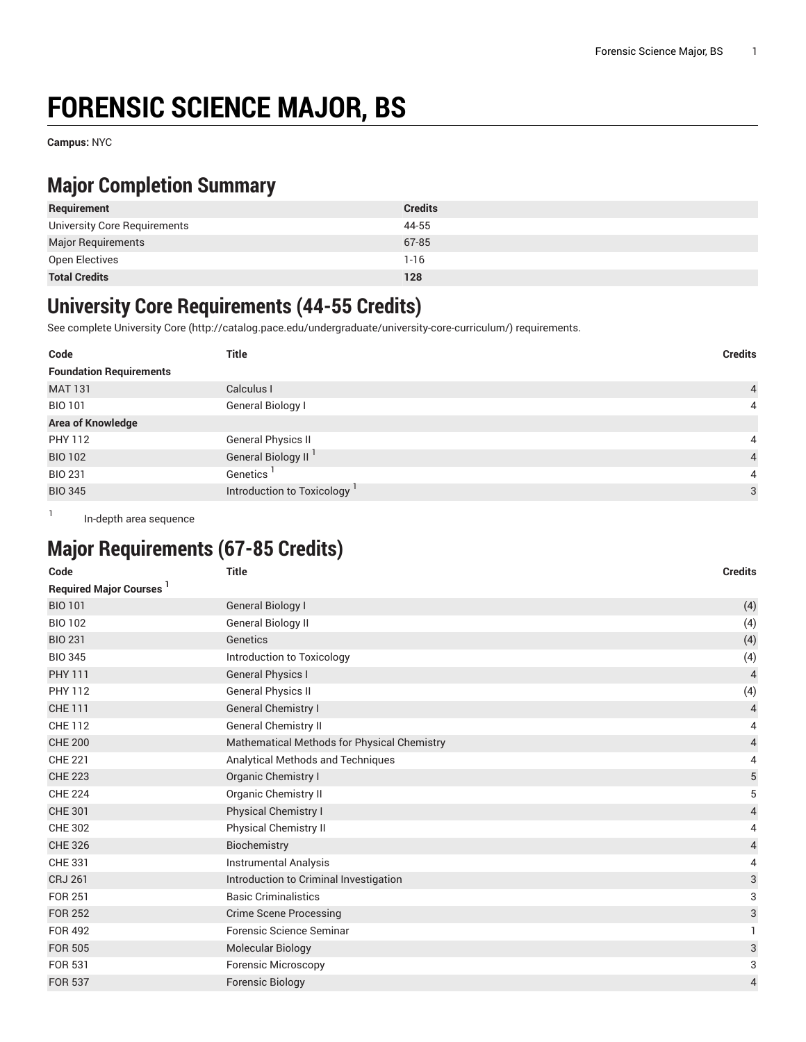# **FORENSIC SCIENCE MAJOR, BS**

**Campus:** NYC

#### **Major Completion Summary**

| Requirement                  | <b>Credits</b> |
|------------------------------|----------------|
| University Core Requirements | 44-55          |
| <b>Major Requirements</b>    | 67-85          |
| Open Electives               | $1 - 16$       |
| <b>Total Credits</b>         | 128            |

#### **University Core Requirements (44-55 Credits)**

See complete [University](http://catalog.pace.edu/undergraduate/university-core-curriculum/) Core (<http://catalog.pace.edu/undergraduate/university-core-curriculum/>) requirements.

| Code                           | <b>Title</b>                    | <b>Credits</b> |
|--------------------------------|---------------------------------|----------------|
| <b>Foundation Requirements</b> |                                 |                |
| <b>MAT 131</b>                 | Calculus I                      | $\overline{4}$ |
| <b>BIO 101</b>                 | General Biology I               | $\overline{4}$ |
| <b>Area of Knowledge</b>       |                                 |                |
| PHY 112                        | <b>General Physics II</b>       | 4              |
| <b>BIO 102</b>                 | General Biology II <sup>1</sup> | $\overline{4}$ |
| <b>BIO 231</b>                 | Genetics                        | 4              |
| <b>BIO 345</b>                 | Introduction to Toxicology      | 3              |

In-depth area sequence

1

## **Major Requirements (67-85 Credits)**

| Code                          | <b>Title</b>                                | <b>Credits</b> |
|-------------------------------|---------------------------------------------|----------------|
| <b>Required Major Courses</b> |                                             |                |
| <b>BIO 101</b>                | <b>General Biology I</b>                    | (4)            |
| <b>BIO 102</b>                | General Biology II                          | (4)            |
| <b>BIO 231</b>                | Genetics                                    | (4)            |
| <b>BIO 345</b>                | Introduction to Toxicology                  | (4)            |
| <b>PHY 111</b>                | <b>General Physics I</b>                    | $\overline{4}$ |
| <b>PHY 112</b>                | <b>General Physics II</b>                   | (4)            |
| <b>CHE 111</b>                | <b>General Chemistry I</b>                  | $\overline{4}$ |
| <b>CHE 112</b>                | <b>General Chemistry II</b>                 | 4              |
| <b>CHE 200</b>                | Mathematical Methods for Physical Chemistry | 4              |
| <b>CHE 221</b>                | Analytical Methods and Techniques           | 4              |
| <b>CHE 223</b>                | Organic Chemistry I                         | 5              |
| <b>CHE 224</b>                | <b>Organic Chemistry II</b>                 | 5              |
| <b>CHE 301</b>                | Physical Chemistry I                        | 4              |
| <b>CHE 302</b>                | <b>Physical Chemistry II</b>                | 4              |
| <b>CHE 326</b>                | Biochemistry                                | 4              |
| <b>CHE 331</b>                | Instrumental Analysis                       | 4              |
| <b>CRJ 261</b>                | Introduction to Criminal Investigation      | 3              |
| <b>FOR 251</b>                | <b>Basic Criminalistics</b>                 | 3              |
| <b>FOR 252</b>                | <b>Crime Scene Processing</b>               | 3              |
| <b>FOR 492</b>                | Forensic Science Seminar                    | 1              |
| <b>FOR 505</b>                | <b>Molecular Biology</b>                    | 3              |
| FOR 531                       | <b>Forensic Microscopy</b>                  | 3              |
| <b>FOR 537</b>                | <b>Forensic Biology</b>                     | $\overline{4}$ |